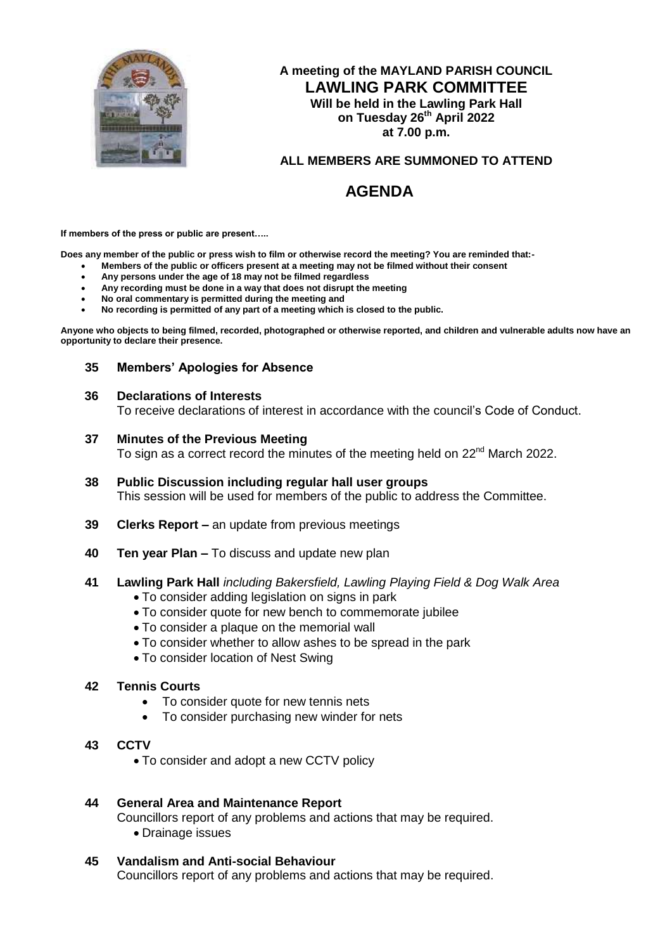

# **A meeting of the MAYLAND PARISH COUNCIL LAWLING PARK COMMITTEE Will be held in the Lawling Park Hall on Tuesday 26th April 2022 at 7.00 p.m.**

# **ALL MEMBERS ARE SUMMONED TO ATTEND**

# **AGENDA**

**If members of the press or public are present…..**

**Does any member of the public or press wish to film or otherwise record the meeting? You are reminded that:-**

- **Members of the public or officers present at a meeting may not be filmed without their consent**
- **Any persons under the age of 18 may not be filmed regardless**
- **Any recording must be done in a way that does not disrupt the meeting**
- **No oral commentary is permitted during the meeting and**
- **No recording is permitted of any part of a meeting which is closed to the public.**

**Anyone who objects to being filmed, recorded, photographed or otherwise reported, and children and vulnerable adults now have an opportunity to declare their presence.**

# **35 Members' Apologies for Absence**

#### **36 Declarations of Interests**

To receive declarations of interest in accordance with the council's Code of Conduct.

#### **37 Minutes of the Previous Meeting**

To sign as a correct record the minutes of the meeting held on 22<sup>nd</sup> March 2022.

- **38 Public Discussion including regular hall user groups** This session will be used for members of the public to address the Committee.
- **39 Clerks Report –** an update from previous meetings
- **40 Ten year Plan –** To discuss and update new plan

# **41 Lawling Park Hall** *including Bakersfield, Lawling Playing Field & Dog Walk Area*

- To consider adding legislation on signs in park
- To consider quote for new bench to commemorate jubilee
- To consider a plaque on the memorial wall
- To consider whether to allow ashes to be spread in the park
- To consider location of Nest Swing

# **42 Tennis Courts**

- To consider quote for new tennis nets
- To consider purchasing new winder for nets
- **43 CCTV**
	- To consider and adopt a new CCTV policy

# **44 General Area and Maintenance Report**

Councillors report of any problems and actions that may be required.

Drainage issues

# **45 Vandalism and Anti-social Behaviour**

Councillors report of any problems and actions that may be required.